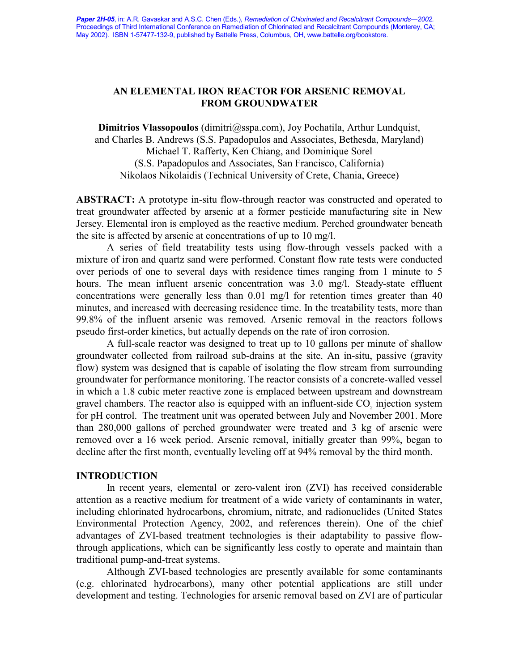# **AN ELEMENTAL IRON REACTOR FOR ARSENIC REMOVAL FROM GROUNDWATER**

**Dimitrios Vlassopoulos** (dimitri@sspa.com), Joy Pochatila, Arthur Lundquist, and Charles B. Andrews (S.S. Papadopulos and Associates, Bethesda, Maryland) Michael T. Rafferty, Ken Chiang, and Dominique Sorel (S.S. Papadopulos and Associates, San Francisco, California) Nikolaos Nikolaidis (Technical University of Crete, Chania, Greece)

**ABSTRACT:** A prototype in-situ flow-through reactor was constructed and operated to treat groundwater affected by arsenic at a former pesticide manufacturing site in New Jersey. Elemental iron is employed as the reactive medium. Perched groundwater beneath the site is affected by arsenic at concentrations of up to 10 mg/l.

A series of field treatability tests using flow-through vessels packed with a mixture of iron and quartz sand were performed. Constant flow rate tests were conducted over periods of one to several days with residence times ranging from 1 minute to 5 hours. The mean influent arsenic concentration was 3.0 mg/l. Steady-state effluent concentrations were generally less than 0.01 mg/l for retention times greater than 40 minutes, and increased with decreasing residence time. In the treatability tests, more than 99.8% of the influent arsenic was removed. Arsenic removal in the reactors follows pseudo first-order kinetics, but actually depends on the rate of iron corrosion.

A full-scale reactor was designed to treat up to 10 gallons per minute of shallow groundwater collected from railroad sub-drains at the site. An in-situ, passive (gravity flow) system was designed that is capable of isolating the flow stream from surrounding groundwater for performance monitoring. The reactor consists of a concrete-walled vessel in which a 1.8 cubic meter reactive zone is emplaced between upstream and downstream gravel chambers. The reactor also is equipped with an influent-side  $CO<sub>2</sub>$  injection system for pH control. The treatment unit was operated between July and November 2001. More than 280,000 gallons of perched groundwater were treated and 3 kg of arsenic were removed over a 16 week period. Arsenic removal, initially greater than 99%, began to decline after the first month, eventually leveling off at 94% removal by the third month.

## **INTRODUCTION**

In recent years, elemental or zero-valent iron (ZVI) has received considerable attention as a reactive medium for treatment of a wide variety of contaminants in water, including chlorinated hydrocarbons, chromium, nitrate, and radionuclides (United States Environmental Protection Agency, 2002, and references therein). One of the chief advantages of ZVI-based treatment technologies is their adaptability to passive flowthrough applications, which can be significantly less costly to operate and maintain than traditional pump-and-treat systems.

Although ZVI-based technologies are presently available for some contaminants (e.g. chlorinated hydrocarbons), many other potential applications are still under development and testing. Technologies for arsenic removal based on ZVI are of particular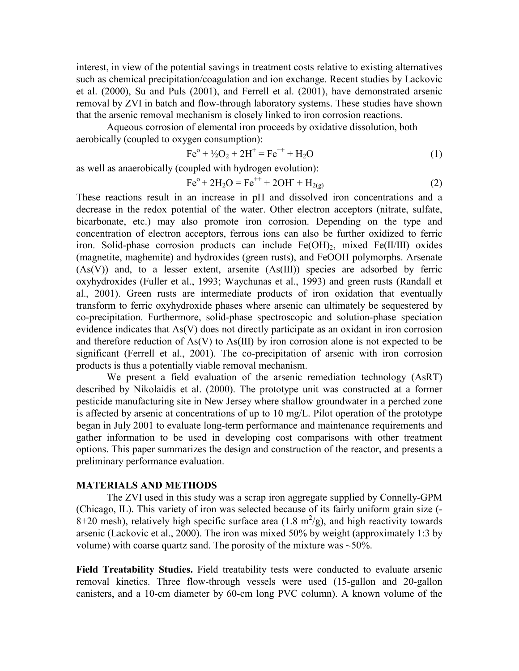interest, in view of the potential savings in treatment costs relative to existing alternatives such as chemical precipitation/coagulation and ion exchange. Recent studies by Lackovic et al. (2000), Su and Puls (2001), and Ferrell et al. (2001), have demonstrated arsenic removal by ZVI in batch and flow-through laboratory systems. These studies have shown that the arsenic removal mechanism is closely linked to iron corrosion reactions.

Aqueous corrosion of elemental iron proceeds by oxidative dissolution, both aerobically (coupled to oxygen consumption):

$$
Fe^{o} + \frac{1}{2}O_{2} + 2H^{+} = Fe^{++} + H_{2}O
$$
 (1)

as well as anaerobically (coupled with hydrogen evolution):

$$
Fe^{o} + 2H_{2}O = Fe^{++} + 2OH^{-} + H_{2(g)}
$$
 (2)

These reactions result in an increase in pH and dissolved iron concentrations and a decrease in the redox potential of the water. Other electron acceptors (nitrate, sulfate, bicarbonate, etc.) may also promote iron corrosion. Depending on the type and concentration of electron acceptors, ferrous ions can also be further oxidized to ferric iron. Solid-phase corrosion products can include  $Fe(OH)_2$ , mixed  $Fe(II/III)$  oxides (magnetite, maghemite) and hydroxides (green rusts), and FeOOH polymorphs. Arsenate  $(As(V))$  and, to a lesser extent, arsenite  $(As(III))$  species are adsorbed by ferric oxyhydroxides (Fuller et al., 1993; Waychunas et al., 1993) and green rusts (Randall et al., 2001). Green rusts are intermediate products of iron oxidation that eventually transform to ferric oxyhydroxide phases where arsenic can ultimately be sequestered by co-precipitation. Furthermore, solid-phase spectroscopic and solution-phase speciation evidence indicates that As(V) does not directly participate as an oxidant in iron corrosion and therefore reduction of As(V) to As(III) by iron corrosion alone is not expected to be significant (Ferrell et al., 2001). The co-precipitation of arsenic with iron corrosion products is thus a potentially viable removal mechanism.

We present a field evaluation of the arsenic remediation technology (AsRT) described by Nikolaidis et al. (2000). The prototype unit was constructed at a former pesticide manufacturing site in New Jersey where shallow groundwater in a perched zone is affected by arsenic at concentrations of up to 10 mg/L. Pilot operation of the prototype began in July 2001 to evaluate long-term performance and maintenance requirements and gather information to be used in developing cost comparisons with other treatment options. This paper summarizes the design and construction of the reactor, and presents a preliminary performance evaluation.

### **MATERIALS AND METHODS**

The ZVI used in this study was a scrap iron aggregate supplied by Connelly-GPM (Chicago, IL). This variety of iron was selected because of its fairly uniform grain size (- 8+20 mesh), relatively high specific surface area (1.8  $m^2/g$ ), and high reactivity towards arsenic (Lackovic et al., 2000). The iron was mixed 50% by weight (approximately 1:3 by volume) with coarse quartz sand. The porosity of the mixture was  $\sim$  50%.

**Field Treatability Studies.** Field treatability tests were conducted to evaluate arsenic removal kinetics. Three flow-through vessels were used (15-gallon and 20-gallon canisters, and a 10-cm diameter by 60-cm long PVC column). A known volume of the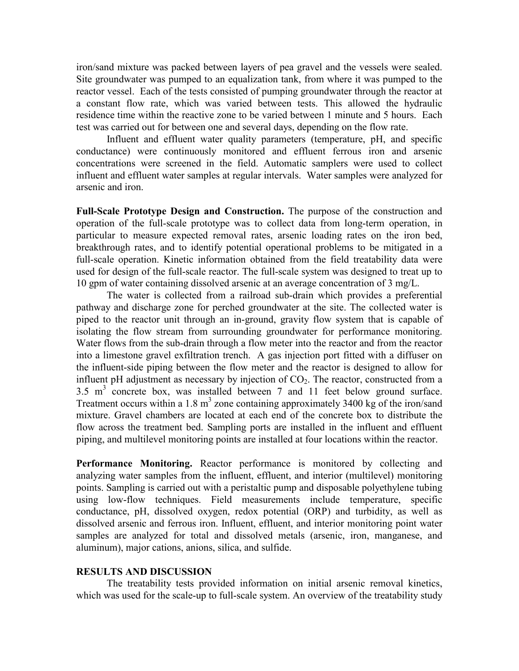iron/sand mixture was packed between layers of pea gravel and the vessels were sealed. Site groundwater was pumped to an equalization tank, from where it was pumped to the reactor vessel. Each of the tests consisted of pumping groundwater through the reactor at a constant flow rate, which was varied between tests. This allowed the hydraulic residence time within the reactive zone to be varied between 1 minute and 5 hours. Each test was carried out for between one and several days, depending on the flow rate.

Influent and effluent water quality parameters (temperature, pH, and specific conductance) were continuously monitored and effluent ferrous iron and arsenic concentrations were screened in the field. Automatic samplers were used to collect influent and effluent water samples at regular intervals. Water samples were analyzed for arsenic and iron.

**Full-Scale Prototype Design and Construction.** The purpose of the construction and operation of the full-scale prototype was to collect data from long-term operation, in particular to measure expected removal rates, arsenic loading rates on the iron bed, breakthrough rates, and to identify potential operational problems to be mitigated in a full-scale operation. Kinetic information obtained from the field treatability data were used for design of the full-scale reactor. The full-scale system was designed to treat up to 10 gpm of water containing dissolved arsenic at an average concentration of 3 mg/L.

The water is collected from a railroad sub-drain which provides a preferential pathway and discharge zone for perched groundwater at the site. The collected water is piped to the reactor unit through an in-ground, gravity flow system that is capable of isolating the flow stream from surrounding groundwater for performance monitoring. Water flows from the sub-drain through a flow meter into the reactor and from the reactor into a limestone gravel exfiltration trench. A gas injection port fitted with a diffuser on the influent-side piping between the flow meter and the reactor is designed to allow for influent pH adjustment as necessary by injection of  $CO<sub>2</sub>$ . The reactor, constructed from a  $3.5 \text{ m}^3$  concrete box, was installed between 7 and 11 feet below ground surface. Treatment occurs within a 1.8  $m<sup>3</sup>$  zone containing approximately 3400 kg of the iron/sand mixture. Gravel chambers are located at each end of the concrete box to distribute the flow across the treatment bed. Sampling ports are installed in the influent and effluent piping, and multilevel monitoring points are installed at four locations within the reactor.

**Performance Monitoring.** Reactor performance is monitored by collecting and analyzing water samples from the influent, effluent, and interior (multilevel) monitoring points. Sampling is carried out with a peristaltic pump and disposable polyethylene tubing using low-flow techniques. Field measurements include temperature, specific conductance, pH, dissolved oxygen, redox potential (ORP) and turbidity, as well as dissolved arsenic and ferrous iron. Influent, effluent, and interior monitoring point water samples are analyzed for total and dissolved metals (arsenic, iron, manganese, and aluminum), major cations, anions, silica, and sulfide.

### **RESULTS AND DISCUSSION**

The treatability tests provided information on initial arsenic removal kinetics, which was used for the scale-up to full-scale system. An overview of the treatability study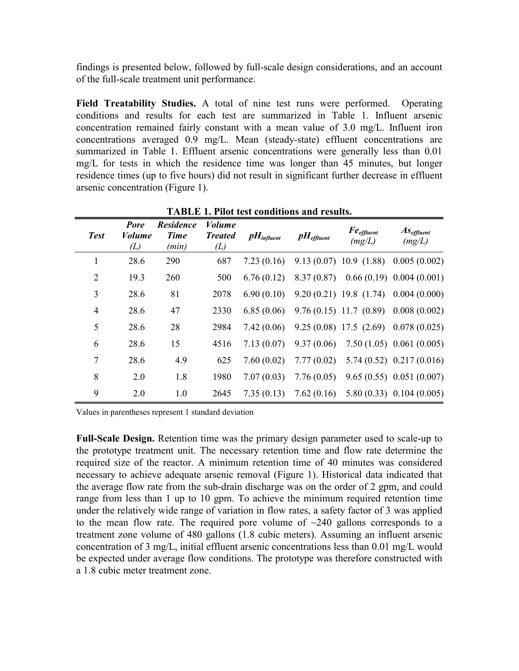findings is presented below, followed by full-scale design considerations, and an account of the full-scale treatment unit performance.

**Field Treatability Studies.** A total of nine test runs were performed. Operating conditions and results for each test are summarized in Table 1. Influent arsenic concentration remained fairly constant with a mean value of 3.0 mg/L. Influent iron concentrations averaged 0.9 mg/L. Mean (steady-state) effluent concentrations are summarized in Table 1. Effluent arsenic concentrations were generally less than 0.01 mg/L for tests in which the residence time was longer than 45 minutes, but longer residence times (up to five hours) did not result in significant further decrease in effluent arsenic concentration (Figure 1).

| <b>Test</b>    | <b>Pore</b><br><i>Volume</i><br>(L) | <b>Residence</b><br><b>Time</b><br>(min) | <b>Volume</b><br><b>Treated</b><br>(L) | $\boldsymbol{p}$ <i>H</i> <sub>influent</sub> | $p_{\textit{H}_{\textit{effuent}}}$ | $Fe_{effluent}$<br>(mg/L)  | $As$ <sub>effluent</sub><br>(mg/L)       |
|----------------|-------------------------------------|------------------------------------------|----------------------------------------|-----------------------------------------------|-------------------------------------|----------------------------|------------------------------------------|
| 1              | 28.6                                | 290                                      | 687                                    | 7.23(0.16)                                    |                                     | 9.13(0.07)10.9(1.88)       | 0.005(0.002)                             |
| $\overline{2}$ | 19.3                                | 260                                      | 500                                    | 6.76(0.12)                                    | 8.37(0.87)                          |                            | $0.66(0.19)$ 0.004 (0.001)               |
| 3              | 28.6                                | 81                                       | 2078                                   | 6.90(0.10)                                    |                                     | $9.20(0.21)$ 19.8 (1.74)   | 0.004(0.000)                             |
| $\overline{4}$ | 28.6                                | 47                                       | 2330                                   | 6.85(0.06)                                    |                                     | $9.76(0.15)$ 11.7 $(0.89)$ | 0.008(0.002)                             |
| 5              | 28.6                                | 28                                       | 2984                                   | 7.42(0.06)                                    |                                     |                            | $9.25(0.08)$ 17.5 (2.69) 0.078 (0.025)   |
| 6              | 28.6                                | 15                                       | 4516                                   | 7.13(0.07)                                    | 9.37(0.06)                          |                            | $7.50(1.05)$ 0.061 (0.005)               |
| 7              | 28.6                                | 4.9                                      | 625                                    | 7.60(0.02)                                    | 7.77(0.02)                          |                            | $5.74(0.52)$ 0.217 (0.016)               |
| 8              | 2.0                                 | 1.8                                      | 1980                                   | 7.07(0.03)                                    | 7.76(0.05)                          |                            | $9.65(0.55)$ 0.051 (0.007)               |
| 9              | 2.0                                 | 1.0                                      | 2645                                   | 7.35(0.13)                                    |                                     |                            | $7.62(0.16)$ $5.80(0.33)$ $0.104(0.005)$ |

**TABLE 1. Pilot test conditions and results.**

Values in parentheses represent 1 standard deviation

**Full-Scale Design.** Retention time was the primary design parameter used to scale-up to the prototype treatment unit. The necessary retention time and flow rate determine the required size of the reactor. A minimum retention time of 40 minutes was considered necessary to achieve adequate arsenic removal (Figure 1). Historical data indicated that the average flow rate from the sub-drain discharge was on the order of 2 gpm, and could range from less than 1 up to 10 gpm. To achieve the minimum required retention time under the relatively wide range of variation in flow rates, a safety factor of 3 was applied to the mean flow rate. The required pore volume of  $\sim$ 240 gallons corresponds to a treatment zone volume of 480 gallons (1.8 cubic meters). Assuming an influent arsenic concentration of 3 mg/L, initial effluent arsenic concentrations less than 0.01 mg/L would be expected under average flow conditions. The prototype was therefore constructed with a 1.8 cubic meter treatment zone.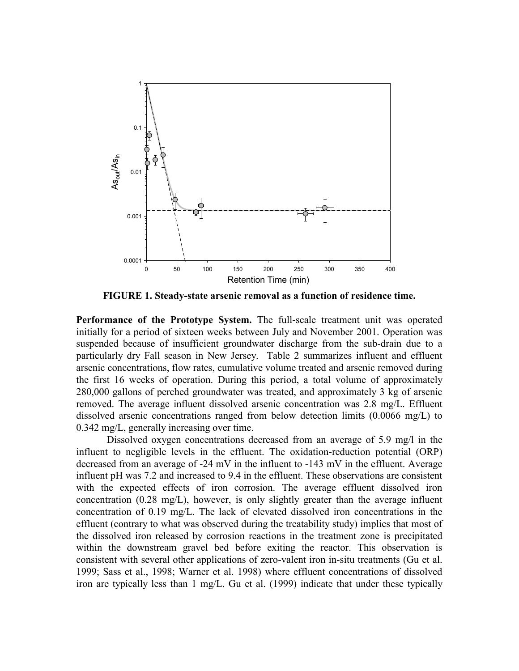

**FIGURE 1. Steady-state arsenic removal as a function of residence time.**

**Performance of the Prototype System.** The full-scale treatment unit was operated initially for a period of sixteen weeks between July and November 2001. Operation was suspended because of insufficient groundwater discharge from the sub-drain due to a particularly dry Fall season in New Jersey. Table 2 summarizes influent and effluent arsenic concentrations, flow rates, cumulative volume treated and arsenic removed during the first 16 weeks of operation. During this period, a total volume of approximately 280,000 gallons of perched groundwater was treated, and approximately 3 kg of arsenic removed. The average influent dissolved arsenic concentration was 2.8 mg/L. Effluent dissolved arsenic concentrations ranged from below detection limits (0.0066 mg/L) to 0.342 mg/L, generally increasing over time.

Dissolved oxygen concentrations decreased from an average of 5.9 mg/l in the influent to negligible levels in the effluent. The oxidation-reduction potential (ORP) decreased from an average of -24 mV in the influent to -143 mV in the effluent. Average influent pH was 7.2 and increased to 9.4 in the effluent. These observations are consistent with the expected effects of iron corrosion. The average effluent dissolved iron concentration (0.28 mg/L), however, is only slightly greater than the average influent concentration of 0.19 mg/L. The lack of elevated dissolved iron concentrations in the effluent (contrary to what was observed during the treatability study) implies that most of the dissolved iron released by corrosion reactions in the treatment zone is precipitated within the downstream gravel bed before exiting the reactor. This observation is consistent with several other applications of zero-valent iron in-situ treatments (Gu et al. 1999; Sass et al., 1998; Warner et al. 1998) where effluent concentrations of dissolved iron are typically less than 1 mg/L. Gu et al. (1999) indicate that under these typically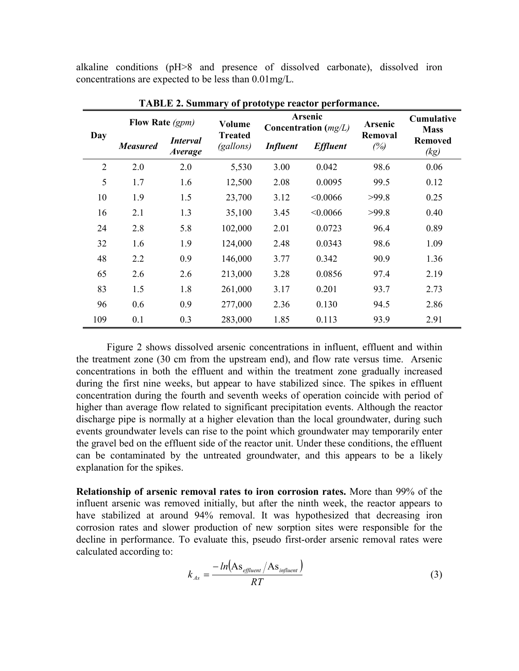alkaline conditions (pH>8 and presence of dissolved carbonate), dissolved iron concentrations are expected to be less than 0.01mg/L.

| Day            | Flow Rate (gpm) |                                   | Volume                      | Arsenic<br>Concentration $(mg/L)$ |                 | <b>Arsenic</b>        | <b>Cumulative</b><br><b>Mass</b> |
|----------------|-----------------|-----------------------------------|-----------------------------|-----------------------------------|-----------------|-----------------------|----------------------------------|
|                | <b>Measured</b> | <i>Interval</i><br><i>Average</i> | <b>Treated</b><br>(gallons) | <b>Influent</b>                   | <b>Effluent</b> | <b>Removal</b><br>(%) | <b>Removed</b><br>(kg)           |
| $\overline{2}$ | 2.0             | 2.0                               | 5,530                       | 3.00                              | 0.042           | 98.6                  | 0.06                             |
| 5              | 1.7             | 1.6                               | 12,500                      | 2.08                              | 0.0095          | 99.5                  | 0.12                             |
| 10             | 1.9             | 1.5                               | 23,700                      | 3.12                              | < 0.0066        | >99.8                 | 0.25                             |
| 16             | 2.1             | 1.3                               | 35,100                      | 3.45                              | < 0.0066        | >99.8                 | 0.40                             |
| 24             | 2.8             | 5.8                               | 102,000                     | 2.01                              | 0.0723          | 96.4                  | 0.89                             |
| 32             | 1.6             | 1.9                               | 124,000                     | 2.48                              | 0.0343          | 98.6                  | 1.09                             |
| 48             | 2.2             | 0.9                               | 146,000                     | 3.77                              | 0.342           | 90.9                  | 1.36                             |
| 65             | 2.6             | 2.6                               | 213,000                     | 3.28                              | 0.0856          | 97.4                  | 2.19                             |
| 83             | 1.5             | 1.8                               | 261,000                     | 3.17                              | 0.201           | 93.7                  | 2.73                             |
| 96             | 0.6             | 0.9                               | 277,000                     | 2.36                              | 0.130           | 94.5                  | 2.86                             |
| 109            | 0.1             | 0.3                               | 283,000                     | 1.85                              | 0.113           | 93.9                  | 2.91                             |

**TABLE 2. Summary of prototype reactor performance.**

Figure 2 shows dissolved arsenic concentrations in influent, effluent and within the treatment zone (30 cm from the upstream end), and flow rate versus time. Arsenic concentrations in both the effluent and within the treatment zone gradually increased during the first nine weeks, but appear to have stabilized since. The spikes in effluent concentration during the fourth and seventh weeks of operation coincide with period of higher than average flow related to significant precipitation events. Although the reactor discharge pipe is normally at a higher elevation than the local groundwater, during such events groundwater levels can rise to the point which groundwater may temporarily enter the gravel bed on the effluent side of the reactor unit. Under these conditions, the effluent can be contaminated by the untreated groundwater, and this appears to be a likely explanation for the spikes.

**Relationship of arsenic removal rates to iron corrosion rates.** More than 99% of the influent arsenic was removed initially, but after the ninth week, the reactor appears to have stabilized at around 94% removal. It was hypothesized that decreasing iron corrosion rates and slower production of new sorption sites were responsible for the decline in performance. To evaluate this, pseudo first-order arsenic removal rates were calculated according to:

$$
k_{As} = \frac{-\ln(\text{As}_{\text{effluent}}/\text{As}_{\text{influent}})}{RT}
$$
(3)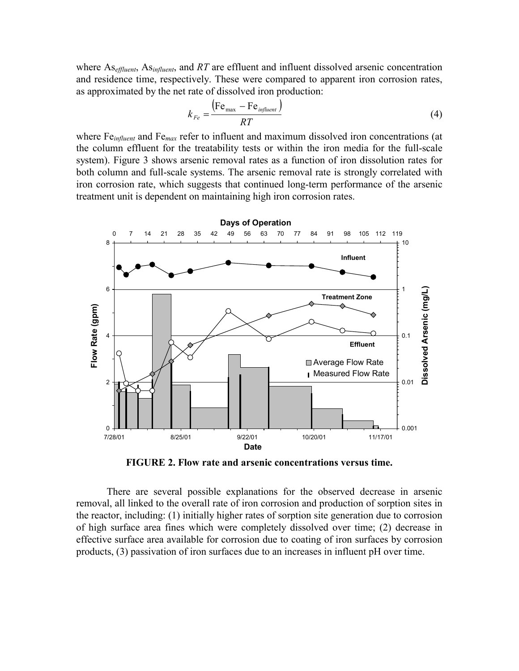where As*effluent*, As*influent*, and *RT* are effluent and influent dissolved arsenic concentration and residence time, respectively. These were compared to apparent iron corrosion rates, as approximated by the net rate of dissolved iron production:

$$
k_{Fe} = \frac{\left(\text{Fe}_{\text{max}} - \text{Fe}_{\text{influent}}\right)}{RT}
$$
 (4)

where Fe*influent* and Fe*max* refer to influent and maximum dissolved iron concentrations (at the column effluent for the treatability tests or within the iron media for the full-scale system). Figure 3 shows arsenic removal rates as a function of iron dissolution rates for both column and full-scale systems. The arsenic removal rate is strongly correlated with iron corrosion rate, which suggests that continued long-term performance of the arsenic treatment unit is dependent on maintaining high iron corrosion rates.



**FIGURE 2. Flow rate and arsenic concentrations versus time.**

There are several possible explanations for the observed decrease in arsenic removal, all linked to the overall rate of iron corrosion and production of sorption sites in the reactor, including: (1) initially higher rates of sorption site generation due to corrosion of high surface area fines which were completely dissolved over time; (2) decrease in effective surface area available for corrosion due to coating of iron surfaces by corrosion products, (3) passivation of iron surfaces due to an increases in influent pH over time.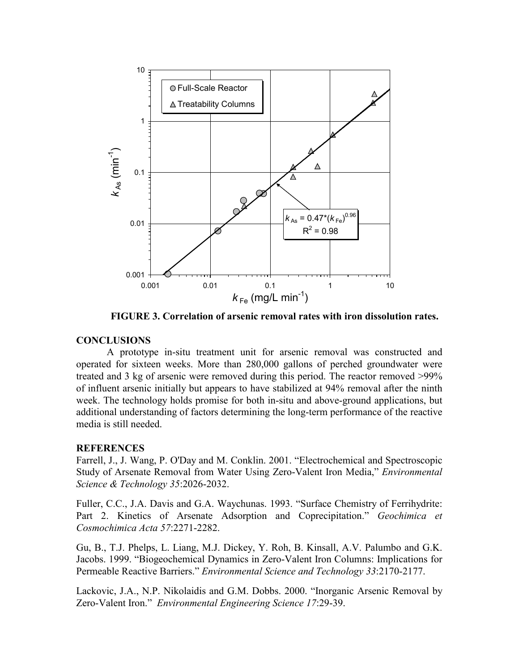

**FIGURE 3. Correlation of arsenic removal rates with iron dissolution rates.**

### **CONCLUSIONS**

A prototype in-situ treatment unit for arsenic removal was constructed and operated for sixteen weeks. More than 280,000 gallons of perched groundwater were treated and 3 kg of arsenic were removed during this period. The reactor removed >99% of influent arsenic initially but appears to have stabilized at 94% removal after the ninth week. The technology holds promise for both in-situ and above-ground applications, but additional understanding of factors determining the long-term performance of the reactive media is still needed.

#### **REFERENCES**

Farrell, J., J. Wang, P. O'Day and M. Conklin. 2001. "Electrochemical and Spectroscopic Study of Arsenate Removal from Water Using Zero-Valent Iron Media," *Environmental Science & Technology 35*:2026-2032.

Fuller, C.C., J.A. Davis and G.A. Waychunas. 1993. "Surface Chemistry of Ferrihydrite: Part 2. Kinetics of Arsenate Adsorption and Coprecipitation." *Geochimica et Cosmochimica Acta 57*:2271-2282.

Gu, B., T.J. Phelps, L. Liang, M.J. Dickey, Y. Roh, B. Kinsall, A.V. Palumbo and G.K. Jacobs. 1999. "Biogeochemical Dynamics in Zero-Valent Iron Columns: Implications for Permeable Reactive Barriers." *Environmental Science and Technology 33*:2170-2177.

Lackovic, J.A., N.P. Nikolaidis and G.M. Dobbs. 2000. "Inorganic Arsenic Removal by Zero-Valent Iron." *Environmental Engineering Science 17*:29-39.